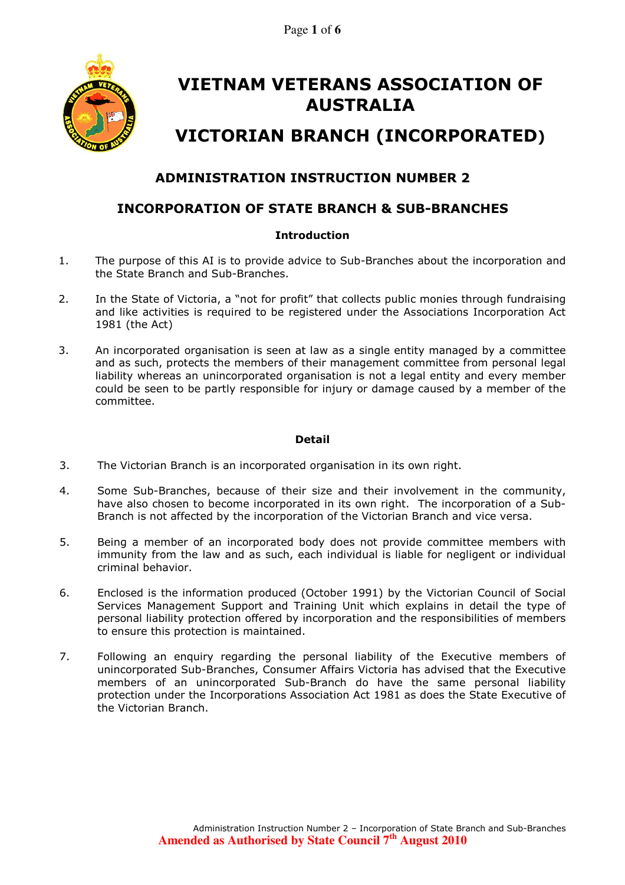Page **1** of **6**



# VIETNAM VETERANS ASSOCIATION OF AUSTRALIA

# VICTORIAN BRANCH (INCORPORATED)

# ADMINISTRATION INSTRUCTION NUMBER 2

# INCORPORATION OF STATE BRANCH & SUB-BRANCHES

# **Introduction**

- 1. The purpose of this AI is to provide advice to Sub-Branches about the incorporation and the State Branch and Sub-Branches.
- 2. In the State of Victoria, a "not for profit" that collects public monies through fundraising and like activities is required to be registered under the Associations Incorporation Act 1981 (the Act)
- 3. An incorporated organisation is seen at law as a single entity managed by a committee and as such, protects the members of their management committee from personal legal liability whereas an unincorporated organisation is not a legal entity and every member could be seen to be partly responsible for injury or damage caused by a member of the committee.

# Detail

- 3. The Victorian Branch is an incorporated organisation in its own right.
- 4. Some Sub-Branches, because of their size and their involvement in the community, have also chosen to become incorporated in its own right. The incorporation of a Sub-Branch is not affected by the incorporation of the Victorian Branch and vice versa.
- 5. Being a member of an incorporated body does not provide committee members with immunity from the law and as such, each individual is liable for negligent or individual criminal behavior.
- 6. Enclosed is the information produced (October 1991) by the Victorian Council of Social Services Management Support and Training Unit which explains in detail the type of personal liability protection offered by incorporation and the responsibilities of members to ensure this protection is maintained.
- 7. Following an enquiry regarding the personal liability of the Executive members of unincorporated Sub-Branches, Consumer Affairs Victoria has advised that the Executive members of an unincorporated Sub-Branch do have the same personal liability protection under the Incorporations Association Act 1981 as does the State Executive of the Victorian Branch.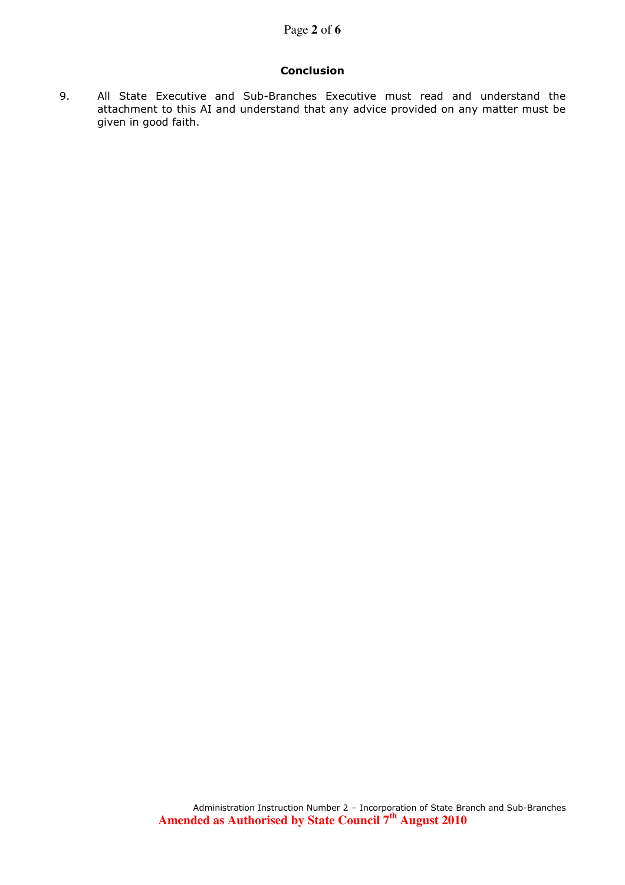# Conclusion

9. All State Executive and Sub-Branches Executive must read and understand the attachment to this AI and understand that any advice provided on any matter must be given in good faith.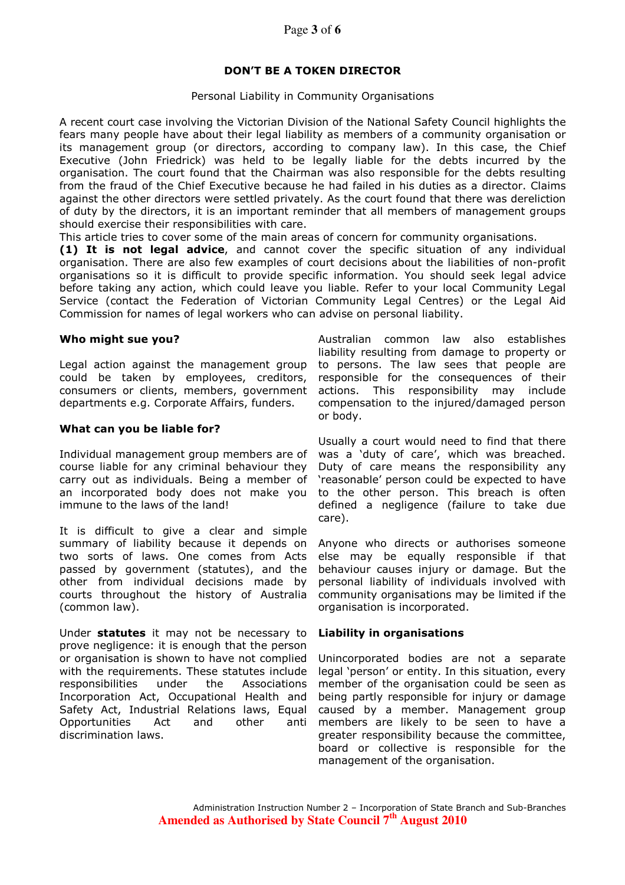# DON'T BE A TOKEN DIRECTOR

## Personal Liability in Community Organisations

A recent court case involving the Victorian Division of the National Safety Council highlights the fears many people have about their legal liability as members of a community organisation or its management group (or directors, according to company law). In this case, the Chief Executive (John Friedrick) was held to be legally liable for the debts incurred by the organisation. The court found that the Chairman was also responsible for the debts resulting from the fraud of the Chief Executive because he had failed in his duties as a director. Claims against the other directors were settled privately. As the court found that there was dereliction of duty by the directors, it is an important reminder that all members of management groups should exercise their responsibilities with care.

This article tries to cover some of the main areas of concern for community organisations.

(1) It is not legal advice, and cannot cover the specific situation of any individual organisation. There are also few examples of court decisions about the liabilities of non-profit organisations so it is difficult to provide specific information. You should seek legal advice before taking any action, which could leave you liable. Refer to your local Community Legal Service (contact the Federation of Victorian Community Legal Centres) or the Legal Aid Commission for names of legal workers who can advise on personal liability.

## Who might sue you?

Legal action against the management group could be taken by employees, creditors, consumers or clients, members, government departments e.g. Corporate Affairs, funders.

# What can you be liable for?

Individual management group members are of course liable for any criminal behaviour they carry out as individuals. Being a member of an incorporated body does not make you immune to the laws of the land!

It is difficult to give a clear and simple summary of liability because it depends on two sorts of laws. One comes from Acts passed by government (statutes), and the other from individual decisions made by courts throughout the history of Australia (common law).

Under statutes it may not be necessary to prove negligence: it is enough that the person or organisation is shown to have not complied with the requirements. These statutes include responsibilities under the Associations Incorporation Act, Occupational Health and Safety Act, Industrial Relations laws, Equal Opportunities Act and other anti discrimination laws.

Australian common law also establishes liability resulting from damage to property or to persons. The law sees that people are responsible for the consequences of their actions. This responsibility may include compensation to the injured/damaged person or body.

Usually a court would need to find that there was a 'duty of care', which was breached. Duty of care means the responsibility any 'reasonable' person could be expected to have to the other person. This breach is often defined a negligence (failure to take due care).

Anyone who directs or authorises someone else may be equally responsible if that behaviour causes injury or damage. But the personal liability of individuals involved with community organisations may be limited if the organisation is incorporated.

# Liability in organisations

Unincorporated bodies are not a separate legal 'person' or entity. In this situation, every member of the organisation could be seen as being partly responsible for injury or damage caused by a member. Management group members are likely to be seen to have a greater responsibility because the committee, board or collective is responsible for the management of the organisation.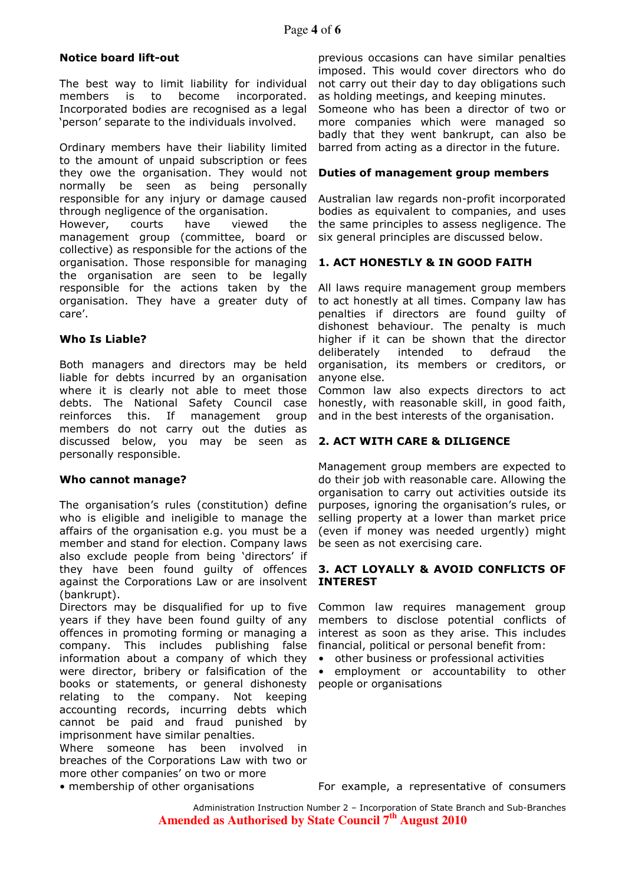# Notice board lift-out

The best way to limit liability for individual members is to become incorporated. Incorporated bodies are recognised as a legal 'person' separate to the individuals involved.

Ordinary members have their liability limited to the amount of unpaid subscription or fees they owe the organisation. They would not normally be seen as being personally responsible for any injury or damage caused through negligence of the organisation.

However, courts have viewed the management group (committee, board or collective) as responsible for the actions of the organisation. Those responsible for managing the organisation are seen to be legally responsible for the actions taken by the organisation. They have a greater duty of care'.

# Who Is Liable?

Both managers and directors may be held liable for debts incurred by an organisation where it is clearly not able to meet those debts. The National Safety Council case reinforces this. If management group members do not carry out the duties as discussed below, you may be seen as personally responsible.

# Who cannot manage?

The organisation's rules (constitution) define who is eligible and ineligible to manage the affairs of the organisation e.g. you must be a member and stand for election. Company laws also exclude people from being 'directors' if they have been found guilty of offences against the Corporations Law or are insolvent (bankrupt).

Directors may be disqualified for up to five years if they have been found guilty of any offences in promoting forming or managing a company. This includes publishing false information about a company of which they were director, bribery or falsification of the books or statements, or general dishonesty relating to the company. Not keeping accounting records, incurring debts which cannot be paid and fraud punished by imprisonment have similar penalties.

Where someone has been involved in breaches of the Corporations Law with two or more other companies' on two or more<br>• membership of other organisations

previous occasions can have similar penalties imposed. This would cover directors who do not carry out their day to day obligations such as holding meetings, and keeping minutes. Someone who has been a director of two or more companies which were managed so

badly that they went bankrupt, can also be barred from acting as a director in the future.

# Duties of management group members

Australian law regards non-profit incorporated bodies as equivalent to companies, and uses the same principles to assess negligence. The six general principles are discussed below.

# 1. ACT HONESTLY & IN GOOD FAITH

All laws require management group members to act honestly at all times. Company law has penalties if directors are found guilty of dishonest behaviour. The penalty is much higher if it can be shown that the director deliberately intended to defraud the organisation, its members or creditors, or anyone else.

Common law also expects directors to act honestly, with reasonable skill, in good faith, and in the best interests of the organisation.

# 2. ACT WITH CARE & DILIGENCE

Management group members are expected to do their job with reasonable care. Allowing the organisation to carry out activities outside its purposes, ignoring the organisation's rules, or selling property at a lower than market price (even if money was needed urgently) might be seen as not exercising care.

# 3. ACT LOYALLY & AVOID CONFLICTS OF INTEREST

Common law requires management group members to disclose potential conflicts of interest as soon as they arise. This includes financial, political or personal benefit from:

• other business or professional activities

• employment or accountability to other people or organisations

For example, a representative of consumers

Administration Instruction Number 2 – Incorporation of State Branch and Sub-Branches **Amended as Authorised by State Council 7th August 2010**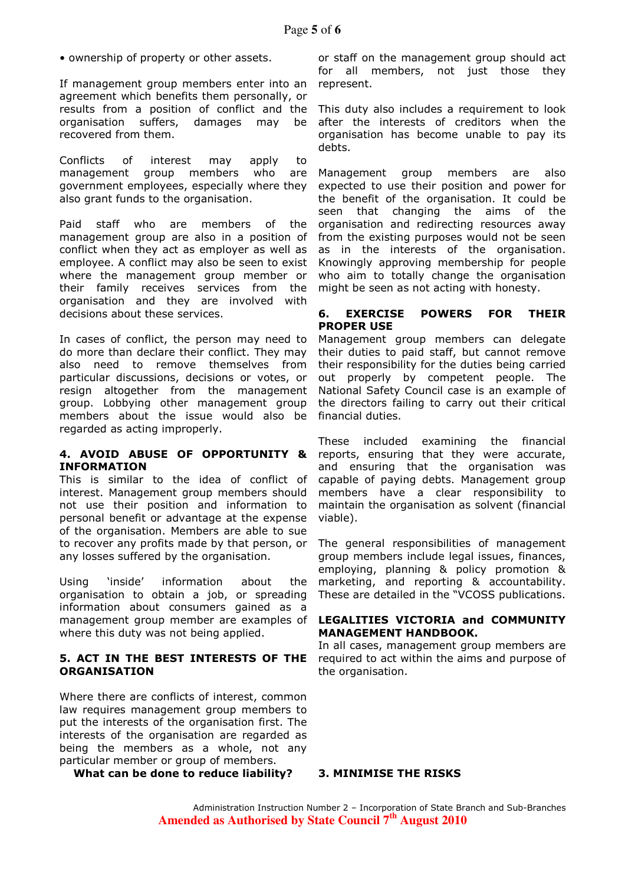• ownership of property or other assets.

If management group members enter into an agreement which benefits them personally, or results from a position of conflict and the organisation suffers, damages may be recovered from them.

Conflicts of interest may apply to management group members who are government employees, especially where they also grant funds to the organisation.

Paid staff who are members of the management group are also in a position of conflict when they act as employer as well as employee. A conflict may also be seen to exist where the management group member or their family receives services from the organisation and they are involved with decisions about these services.

In cases of conflict, the person may need to do more than declare their conflict. They may also need to remove themselves from particular discussions, decisions or votes, or resign altogether from the management group. Lobbying other management group members about the issue would also be regarded as acting improperly.

# 4. AVOID ABUSE OF OPPORTUNITY & INFORMATION

This is similar to the idea of conflict of interest. Management group members should not use their position and information to personal benefit or advantage at the expense of the organisation. Members are able to sue to recover any profits made by that person, or any losses suffered by the organisation.

Using 'inside' information about the organisation to obtain a job, or spreading information about consumers gained as a management group member are examples of where this duty was not being applied.

# 5. ACT IN THE BEST INTERESTS OF THE ORGANISATION

Where there are conflicts of interest, common law requires management group members to put the interests of the organisation first. The interests of the organisation are regarded as being the members as a whole, not any particular member or group of members.

What can be done to reduce liability? 3. MINIMISE THE RISKS

or staff on the management group should act for all members, not just those they represent.

This duty also includes a requirement to look after the interests of creditors when the organisation has become unable to pay its debts.

Management group members are also expected to use their position and power for the benefit of the organisation. It could be seen that changing the aims of the organisation and redirecting resources away from the existing purposes would not be seen as in the interests of the organisation. Knowingly approving membership for people who aim to totally change the organisation might be seen as not acting with honesty.

# 6. EXERCISE POWERS FOR THEIR PROPER USE

Management group members can delegate their duties to paid staff, but cannot remove their responsibility for the duties being carried out properly by competent people. The National Safety Council case is an example of the directors failing to carry out their critical financial duties.

These included examining the financial reports, ensuring that they were accurate, and ensuring that the organisation was capable of paying debts. Management group members have a clear responsibility to maintain the organisation as solvent (financial viable).

The general responsibilities of management group members include legal issues, finances, employing, planning & policy promotion & marketing, and reporting & accountability. These are detailed in the "VCOSS publications.

# LEGALITIES VICTORIA and COMMUNITY MANAGEMENT HANDBOOK.

In all cases, management group members are required to act within the aims and purpose of the organisation.

Administration Instruction Number 2 – Incorporation of State Branch and Sub-Branches **Amended as Authorised by State Council 7th August 2010**